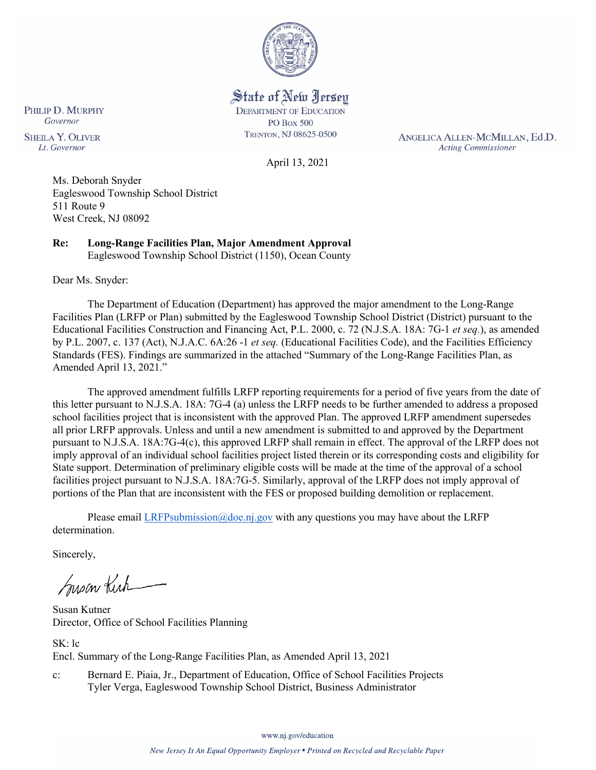

State of New Jersey **DEPARTMENT OF EDUCATION PO Box 500** TRENTON, NJ 08625-0500

ANGELICA ALLEN-MCMILLAN, Ed.D. **Acting Commissioner** 

April 13, 2021

Ms. Deborah Snyder Eagleswood Township School District 511 Route 9 West Creek, NJ 08092

**Re: Long-Range Facilities Plan, Major Amendment Approval**  Eagleswood Township School District (1150), Ocean County

Dear Ms. Snyder:

PHILIP D. MURPHY Governor

**SHEILA Y. OLIVER** 

Lt. Governor

The Department of Education (Department) has approved the major amendment to the Long-Range Facilities Plan (LRFP or Plan) submitted by the Eagleswood Township School District (District) pursuant to the Educational Facilities Construction and Financing Act, P.L. 2000, c. 72 (N.J.S.A. 18A: 7G-1 *et seq.*), as amended by P.L. 2007, c. 137 (Act), N.J.A.C. 6A:26 -1 *et seq.* (Educational Facilities Code), and the Facilities Efficiency Standards (FES). Findings are summarized in the attached "Summary of the Long-Range Facilities Plan, as Amended April 13, 2021."

The approved amendment fulfills LRFP reporting requirements for a period of five years from the date of this letter pursuant to N.J.S.A. 18A: 7G-4 (a) unless the LRFP needs to be further amended to address a proposed school facilities project that is inconsistent with the approved Plan. The approved LRFP amendment supersedes all prior LRFP approvals. Unless and until a new amendment is submitted to and approved by the Department pursuant to N.J.S.A. 18A:7G-4(c), this approved LRFP shall remain in effect. The approval of the LRFP does not imply approval of an individual school facilities project listed therein or its corresponding costs and eligibility for State support. Determination of preliminary eligible costs will be made at the time of the approval of a school facilities project pursuant to N.J.S.A. 18A:7G-5. Similarly, approval of the LRFP does not imply approval of portions of the Plan that are inconsistent with the FES or proposed building demolition or replacement.

Please email [LRFPsubmission@doe.nj.gov](mailto:LRFPsubmission@doe.nj.gov) with any questions you may have about the LRFP determination.

Sincerely,

Susan Kich

Susan Kutner Director, Office of School Facilities Planning

SK: lc Encl. Summary of the Long-Range Facilities Plan, as Amended April 13, 2021

c: Bernard E. Piaia, Jr., Department of Education, Office of School Facilities Projects Tyler Verga, Eagleswood Township School District, Business Administrator

www.nj.gov/education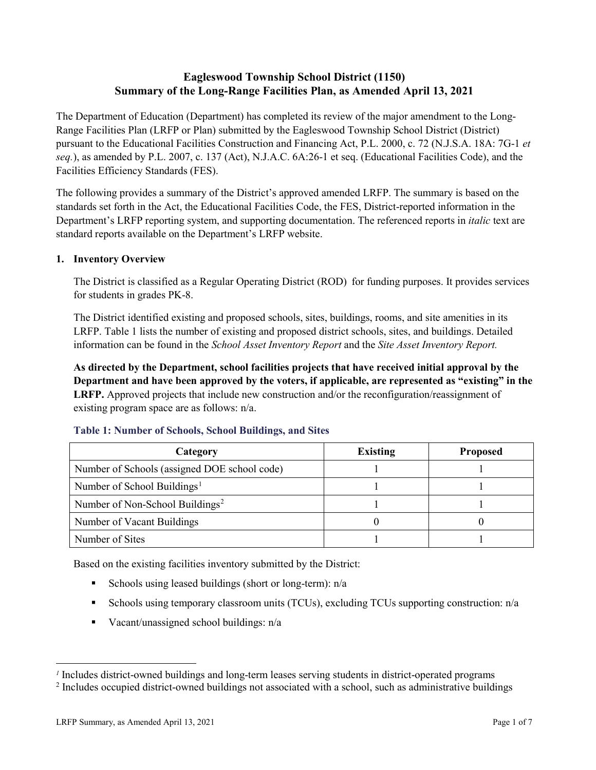# **Eagleswood Township School District (1150) Summary of the Long-Range Facilities Plan, as Amended April 13, 2021**

The Department of Education (Department) has completed its review of the major amendment to the Long-Range Facilities Plan (LRFP or Plan) submitted by the Eagleswood Township School District (District) pursuant to the Educational Facilities Construction and Financing Act, P.L. 2000, c. 72 (N.J.S.A. 18A: 7G-1 *et seq.*), as amended by P.L. 2007, c. 137 (Act), N.J.A.C. 6A:26-1 et seq. (Educational Facilities Code), and the Facilities Efficiency Standards (FES).

The following provides a summary of the District's approved amended LRFP. The summary is based on the standards set forth in the Act, the Educational Facilities Code, the FES, District-reported information in the Department's LRFP reporting system, and supporting documentation. The referenced reports in *italic* text are standard reports available on the Department's LRFP website.

# **1. Inventory Overview**

The District is classified as a Regular Operating District (ROD) for funding purposes. It provides services for students in grades PK-8.

The District identified existing and proposed schools, sites, buildings, rooms, and site amenities in its LRFP. Table 1 lists the number of existing and proposed district schools, sites, and buildings. Detailed information can be found in the *School Asset Inventory Report* and the *Site Asset Inventory Report.*

**As directed by the Department, school facilities projects that have received initial approval by the Department and have been approved by the voters, if applicable, are represented as "existing" in the LRFP.** Approved projects that include new construction and/or the reconfiguration/reassignment of existing program space are as follows: n/a.

| Category                                     | <b>Existing</b> | <b>Proposed</b> |
|----------------------------------------------|-----------------|-----------------|
| Number of Schools (assigned DOE school code) |                 |                 |
| Number of School Buildings <sup>1</sup>      |                 |                 |
| Number of Non-School Buildings <sup>2</sup>  |                 |                 |
| Number of Vacant Buildings                   |                 |                 |
| Number of Sites                              |                 |                 |

#### **Table 1: Number of Schools, School Buildings, and Sites**

Based on the existing facilities inventory submitted by the District:

- Schools using leased buildings (short or long-term):  $n/a$
- Schools using temporary classroom units (TCUs), excluding TCUs supporting construction: n/a
- Vacant/unassigned school buildings:  $n/a$

 $\overline{a}$ 

<span id="page-1-1"></span><span id="page-1-0"></span>*<sup>1</sup>* Includes district-owned buildings and long-term leases serving students in district-operated programs

<sup>&</sup>lt;sup>2</sup> Includes occupied district-owned buildings not associated with a school, such as administrative buildings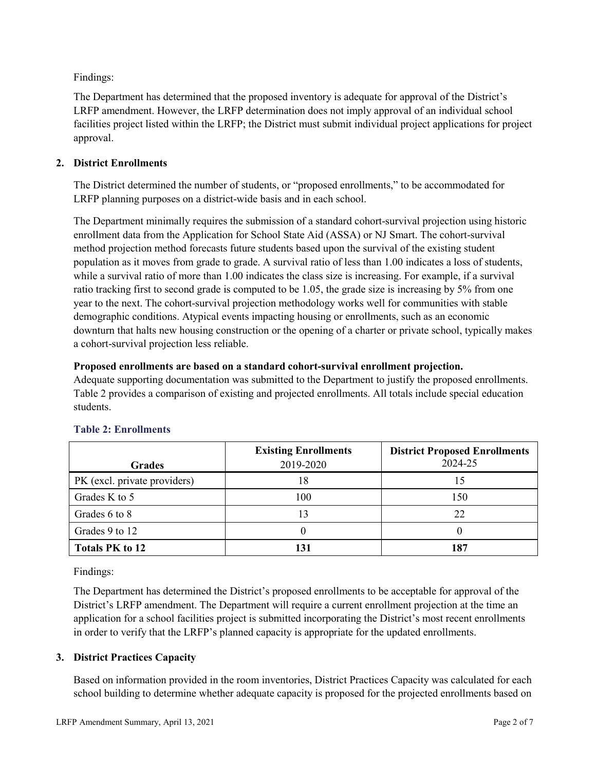Findings:

The Department has determined that the proposed inventory is adequate for approval of the District's LRFP amendment. However, the LRFP determination does not imply approval of an individual school facilities project listed within the LRFP; the District must submit individual project applications for project approval.

# **2. District Enrollments**

The District determined the number of students, or "proposed enrollments," to be accommodated for LRFP planning purposes on a district-wide basis and in each school.

The Department minimally requires the submission of a standard cohort-survival projection using historic enrollment data from the Application for School State Aid (ASSA) or NJ Smart. The cohort-survival method projection method forecasts future students based upon the survival of the existing student population as it moves from grade to grade. A survival ratio of less than 1.00 indicates a loss of students, while a survival ratio of more than 1.00 indicates the class size is increasing. For example, if a survival ratio tracking first to second grade is computed to be 1.05, the grade size is increasing by 5% from one year to the next. The cohort-survival projection methodology works well for communities with stable demographic conditions. Atypical events impacting housing or enrollments, such as an economic downturn that halts new housing construction or the opening of a charter or private school, typically makes a cohort-survival projection less reliable.

### **Proposed enrollments are based on a standard cohort-survival enrollment projection.**

Adequate supporting documentation was submitted to the Department to justify the proposed enrollments. Table 2 provides a comparison of existing and projected enrollments. All totals include special education students.

|                              | <b>Existing Enrollments</b> | <b>District Proposed Enrollments</b> |
|------------------------------|-----------------------------|--------------------------------------|
| <b>Grades</b>                | 2019-2020                   | 2024-25                              |
| PK (excl. private providers) | 18                          | 15                                   |
| Grades K to 5                | 100                         | 150                                  |
| Grades 6 to 8                |                             | 22                                   |
| Grades 9 to 12               |                             |                                      |
| <b>Totals PK to 12</b>       | 131                         | 187                                  |

# **Table 2: Enrollments**

Findings:

The Department has determined the District's proposed enrollments to be acceptable for approval of the District's LRFP amendment. The Department will require a current enrollment projection at the time an application for a school facilities project is submitted incorporating the District's most recent enrollments in order to verify that the LRFP's planned capacity is appropriate for the updated enrollments.

# **3. District Practices Capacity**

Based on information provided in the room inventories, District Practices Capacity was calculated for each school building to determine whether adequate capacity is proposed for the projected enrollments based on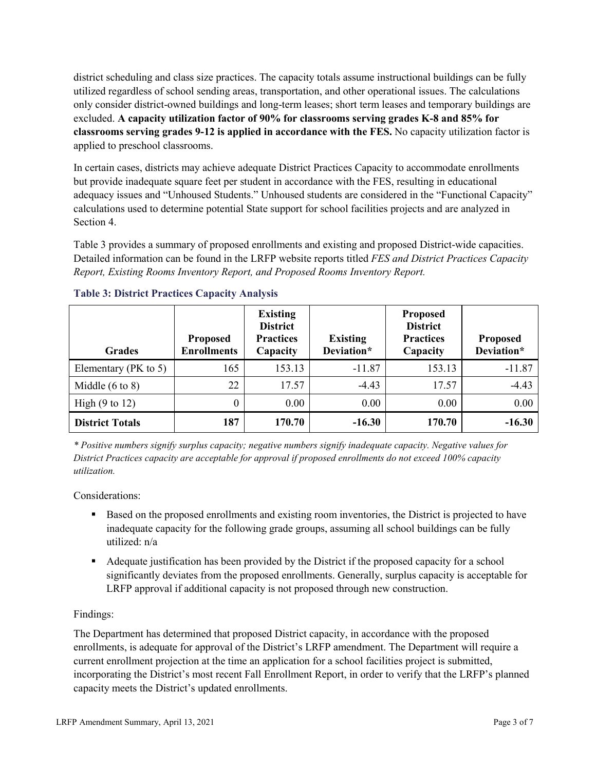district scheduling and class size practices. The capacity totals assume instructional buildings can be fully utilized regardless of school sending areas, transportation, and other operational issues. The calculations only consider district-owned buildings and long-term leases; short term leases and temporary buildings are excluded. **A capacity utilization factor of 90% for classrooms serving grades K-8 and 85% for classrooms serving grades 9-12 is applied in accordance with the FES.** No capacity utilization factor is applied to preschool classrooms.

In certain cases, districts may achieve adequate District Practices Capacity to accommodate enrollments but provide inadequate square feet per student in accordance with the FES, resulting in educational adequacy issues and "Unhoused Students." Unhoused students are considered in the "Functional Capacity" calculations used to determine potential State support for school facilities projects and are analyzed in Section 4.

Table 3 provides a summary of proposed enrollments and existing and proposed District-wide capacities. Detailed information can be found in the LRFP website reports titled *FES and District Practices Capacity Report, Existing Rooms Inventory Report, and Proposed Rooms Inventory Report.*

| <b>Grades</b>              | <b>Proposed</b><br><b>Enrollments</b> | <b>Existing</b><br><b>District</b><br><b>Practices</b><br>Capacity | <b>Existing</b><br>Deviation* | <b>Proposed</b><br><b>District</b><br><b>Practices</b><br>Capacity | <b>Proposed</b><br>Deviation* |
|----------------------------|---------------------------------------|--------------------------------------------------------------------|-------------------------------|--------------------------------------------------------------------|-------------------------------|
| Elementary ( $PK$ to 5)    | 165                                   | 153.13                                                             | $-11.87$                      | 153.13                                                             | $-11.87$                      |
| Middle $(6 \text{ to } 8)$ | 22                                    | 17.57                                                              | $-4.43$                       | 17.57                                                              | $-4.43$                       |
| High $(9 \text{ to } 12)$  | 0                                     | 0.00                                                               | 0.00                          | 0.00                                                               | 0.00                          |
| <b>District Totals</b>     | 187                                   | 170.70                                                             | $-16.30$                      | 170.70                                                             | $-16.30$                      |

# **Table 3: District Practices Capacity Analysis**

*\* Positive numbers signify surplus capacity; negative numbers signify inadequate capacity. Negative values for District Practices capacity are acceptable for approval if proposed enrollments do not exceed 100% capacity utilization.*

Considerations:

- Based on the proposed enrollments and existing room inventories, the District is projected to have inadequate capacity for the following grade groups, assuming all school buildings can be fully utilized: n/a
- Adequate justification has been provided by the District if the proposed capacity for a school significantly deviates from the proposed enrollments. Generally, surplus capacity is acceptable for LRFP approval if additional capacity is not proposed through new construction.

# Findings:

The Department has determined that proposed District capacity, in accordance with the proposed enrollments, is adequate for approval of the District's LRFP amendment. The Department will require a current enrollment projection at the time an application for a school facilities project is submitted, incorporating the District's most recent Fall Enrollment Report, in order to verify that the LRFP's planned capacity meets the District's updated enrollments.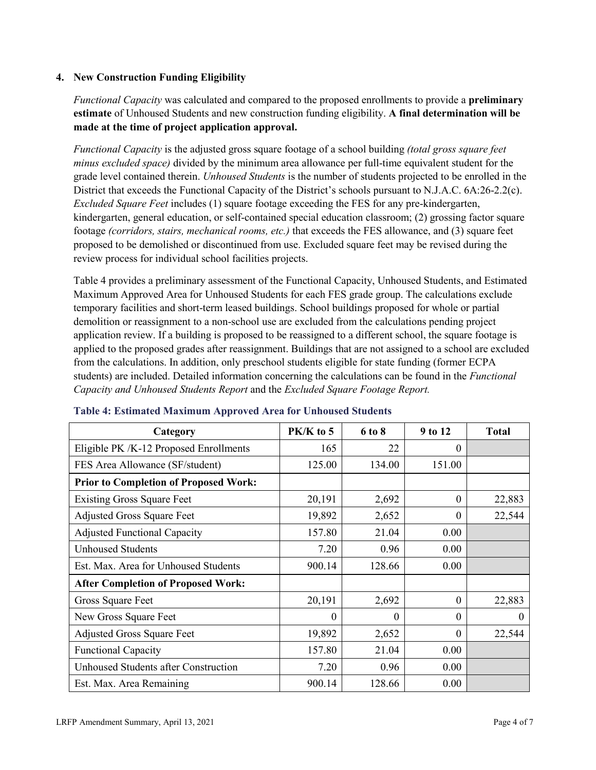# **4. New Construction Funding Eligibility**

*Functional Capacity* was calculated and compared to the proposed enrollments to provide a **preliminary estimate** of Unhoused Students and new construction funding eligibility. **A final determination will be made at the time of project application approval.**

*Functional Capacity* is the adjusted gross square footage of a school building *(total gross square feet minus excluded space)* divided by the minimum area allowance per full-time equivalent student for the grade level contained therein. *Unhoused Students* is the number of students projected to be enrolled in the District that exceeds the Functional Capacity of the District's schools pursuant to N.J.A.C. 6A:26-2.2(c). *Excluded Square Feet* includes (1) square footage exceeding the FES for any pre-kindergarten, kindergarten, general education, or self-contained special education classroom; (2) grossing factor square footage *(corridors, stairs, mechanical rooms, etc.)* that exceeds the FES allowance, and (3) square feet proposed to be demolished or discontinued from use. Excluded square feet may be revised during the review process for individual school facilities projects.

Table 4 provides a preliminary assessment of the Functional Capacity, Unhoused Students, and Estimated Maximum Approved Area for Unhoused Students for each FES grade group. The calculations exclude temporary facilities and short-term leased buildings. School buildings proposed for whole or partial demolition or reassignment to a non-school use are excluded from the calculations pending project application review. If a building is proposed to be reassigned to a different school, the square footage is applied to the proposed grades after reassignment. Buildings that are not assigned to a school are excluded from the calculations. In addition, only preschool students eligible for state funding (former ECPA students) are included. Detailed information concerning the calculations can be found in the *Functional Capacity and Unhoused Students Report* and the *Excluded Square Footage Report.*

| Category                                     | PK/K to 5 | 6 to 8 | 9 to 12  | <b>Total</b> |
|----------------------------------------------|-----------|--------|----------|--------------|
| Eligible PK /K-12 Proposed Enrollments       | 165       | 22     | 0        |              |
| FES Area Allowance (SF/student)              | 125.00    | 134.00 | 151.00   |              |
| <b>Prior to Completion of Proposed Work:</b> |           |        |          |              |
| <b>Existing Gross Square Feet</b>            | 20,191    | 2,692  | $\Omega$ | 22,883       |
| <b>Adjusted Gross Square Feet</b>            | 19,892    | 2,652  | $\theta$ | 22,544       |
| <b>Adjusted Functional Capacity</b>          | 157.80    | 21.04  | 0.00     |              |
| <b>Unhoused Students</b>                     | 7.20      | 0.96   | 0.00     |              |
| Est. Max. Area for Unhoused Students         | 900.14    | 128.66 | 0.00     |              |
| <b>After Completion of Proposed Work:</b>    |           |        |          |              |
| Gross Square Feet                            | 20,191    | 2,692  | $\theta$ | 22,883       |
| New Gross Square Feet                        | $\theta$  | 0      | $\theta$ | $\Omega$     |
| <b>Adjusted Gross Square Feet</b>            | 19,892    | 2,652  | $\Omega$ | 22,544       |
| <b>Functional Capacity</b>                   | 157.80    | 21.04  | 0.00     |              |
| Unhoused Students after Construction         | 7.20      | 0.96   | 0.00     |              |
| Est. Max. Area Remaining                     | 900.14    | 128.66 | 0.00     |              |

#### **Table 4: Estimated Maximum Approved Area for Unhoused Students**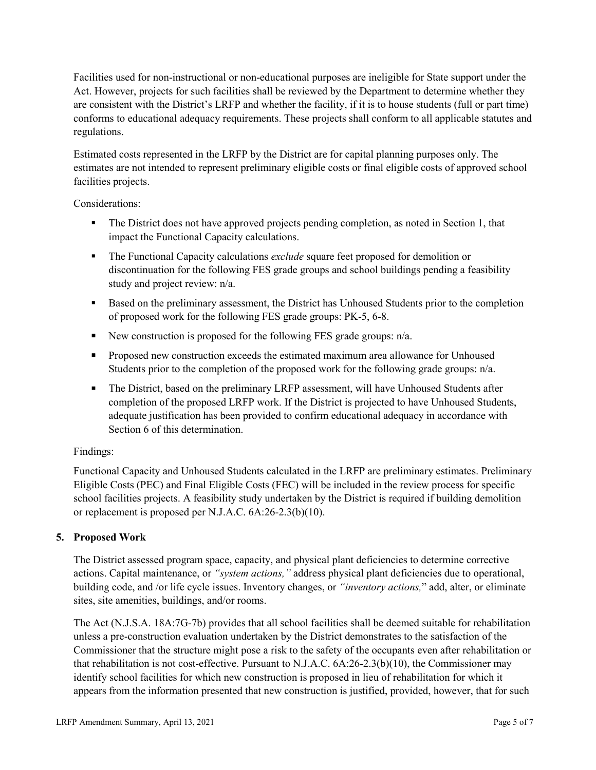Facilities used for non-instructional or non-educational purposes are ineligible for State support under the Act. However, projects for such facilities shall be reviewed by the Department to determine whether they are consistent with the District's LRFP and whether the facility, if it is to house students (full or part time) conforms to educational adequacy requirements. These projects shall conform to all applicable statutes and regulations.

Estimated costs represented in the LRFP by the District are for capital planning purposes only. The estimates are not intended to represent preliminary eligible costs or final eligible costs of approved school facilities projects.

Considerations:

- The District does not have approved projects pending completion, as noted in Section 1, that impact the Functional Capacity calculations.
- **The Functional Capacity calculations** *exclude* square feet proposed for demolition or discontinuation for the following FES grade groups and school buildings pending a feasibility study and project review: n/a.
- Based on the preliminary assessment, the District has Unhoused Students prior to the completion of proposed work for the following FES grade groups: PK-5, 6-8.
- New construction is proposed for the following FES grade groups: n/a.
- Proposed new construction exceeds the estimated maximum area allowance for Unhoused Students prior to the completion of the proposed work for the following grade groups: n/a.
- The District, based on the preliminary LRFP assessment, will have Unhoused Students after completion of the proposed LRFP work. If the District is projected to have Unhoused Students, adequate justification has been provided to confirm educational adequacy in accordance with Section 6 of this determination.

# Findings:

Functional Capacity and Unhoused Students calculated in the LRFP are preliminary estimates. Preliminary Eligible Costs (PEC) and Final Eligible Costs (FEC) will be included in the review process for specific school facilities projects. A feasibility study undertaken by the District is required if building demolition or replacement is proposed per N.J.A.C. 6A:26-2.3(b)(10).

# **5. Proposed Work**

The District assessed program space, capacity, and physical plant deficiencies to determine corrective actions. Capital maintenance, or *"system actions,"* address physical plant deficiencies due to operational, building code, and /or life cycle issues. Inventory changes, or *"inventory actions,*" add, alter, or eliminate sites, site amenities, buildings, and/or rooms.

The Act (N.J.S.A. 18A:7G-7b) provides that all school facilities shall be deemed suitable for rehabilitation unless a pre-construction evaluation undertaken by the District demonstrates to the satisfaction of the Commissioner that the structure might pose a risk to the safety of the occupants even after rehabilitation or that rehabilitation is not cost-effective. Pursuant to N.J.A.C. 6A:26-2.3(b)(10), the Commissioner may identify school facilities for which new construction is proposed in lieu of rehabilitation for which it appears from the information presented that new construction is justified, provided, however, that for such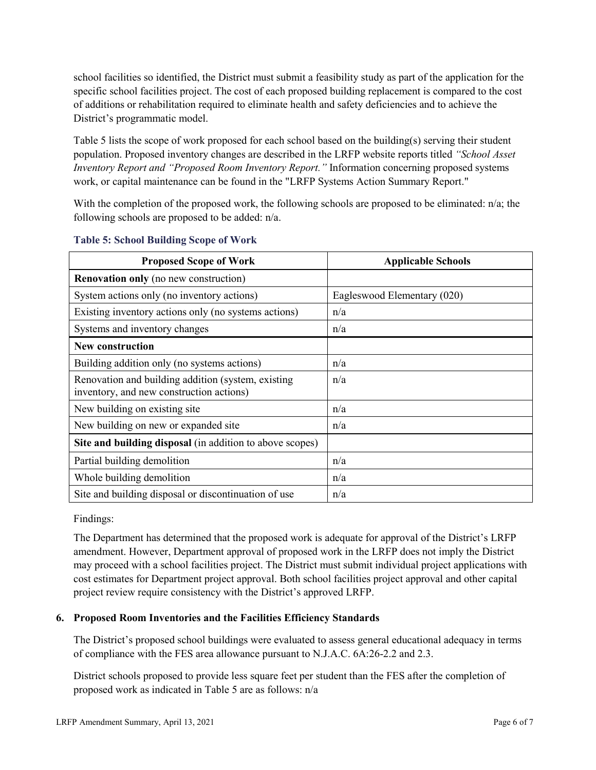school facilities so identified, the District must submit a feasibility study as part of the application for the specific school facilities project. The cost of each proposed building replacement is compared to the cost of additions or rehabilitation required to eliminate health and safety deficiencies and to achieve the District's programmatic model.

Table 5 lists the scope of work proposed for each school based on the building(s) serving their student population. Proposed inventory changes are described in the LRFP website reports titled *"School Asset Inventory Report and "Proposed Room Inventory Report."* Information concerning proposed systems work, or capital maintenance can be found in the "LRFP Systems Action Summary Report."

With the completion of the proposed work, the following schools are proposed to be eliminated: n/a; the following schools are proposed to be added: n/a.

| <b>Proposed Scope of Work</b>                                                                  | <b>Applicable Schools</b>   |
|------------------------------------------------------------------------------------------------|-----------------------------|
| <b>Renovation only</b> (no new construction)                                                   |                             |
| System actions only (no inventory actions)                                                     | Eagleswood Elementary (020) |
| Existing inventory actions only (no systems actions)                                           | n/a                         |
| Systems and inventory changes                                                                  | n/a                         |
| <b>New construction</b>                                                                        |                             |
| Building addition only (no systems actions)                                                    | n/a                         |
| Renovation and building addition (system, existing<br>inventory, and new construction actions) | n/a                         |
| New building on existing site                                                                  | n/a                         |
| New building on new or expanded site                                                           | n/a                         |
| Site and building disposal (in addition to above scopes)                                       |                             |
| Partial building demolition                                                                    | n/a                         |
| Whole building demolition                                                                      | n/a                         |
| Site and building disposal or discontinuation of use                                           | n/a                         |

### **Table 5: School Building Scope of Work**

Findings:

The Department has determined that the proposed work is adequate for approval of the District's LRFP amendment. However, Department approval of proposed work in the LRFP does not imply the District may proceed with a school facilities project. The District must submit individual project applications with cost estimates for Department project approval. Both school facilities project approval and other capital project review require consistency with the District's approved LRFP.

# **6. Proposed Room Inventories and the Facilities Efficiency Standards**

The District's proposed school buildings were evaluated to assess general educational adequacy in terms of compliance with the FES area allowance pursuant to N.J.A.C. 6A:26-2.2 and 2.3.

District schools proposed to provide less square feet per student than the FES after the completion of proposed work as indicated in Table 5 are as follows: n/a